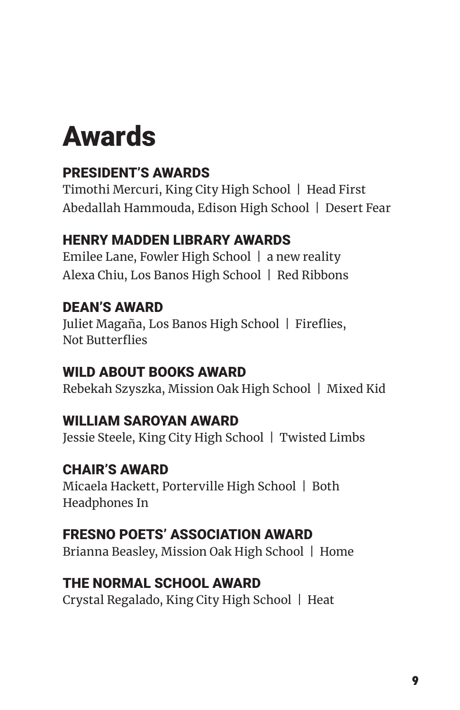# Awards

## PRESIDENT'S AWARDS

Timothi Mercuri, King City High School | Head First Abedallah Hammouda, Edison High School | Desert Fear

## HENRY MADDEN LIBRARY AWARDS

Emilee Lane, Fowler High School | a new reality Alexa Chiu, Los Banos High School | Red Ribbons

## DEAN'S AWARD

Juliet Magaña, Los Banos High School | Fireflies, Not Butterflies

## WILD ABOUT BOOKS AWARD

Rebekah Szyszka, Mission Oak High School | Mixed Kid

## WILLIAM SAROYAN AWARD

Jessie Steele, King City High School | Twisted Limbs

## CHAIR'S AWARD

Micaela Hackett, Porterville High School | Both Headphones In

## FRESNO POETS' ASSOCIATION AWARD

Brianna Beasley, Mission Oak High School | Home

#### THE NORMAL SCHOOL AWARD

Crystal Regalado, King City High School | Heat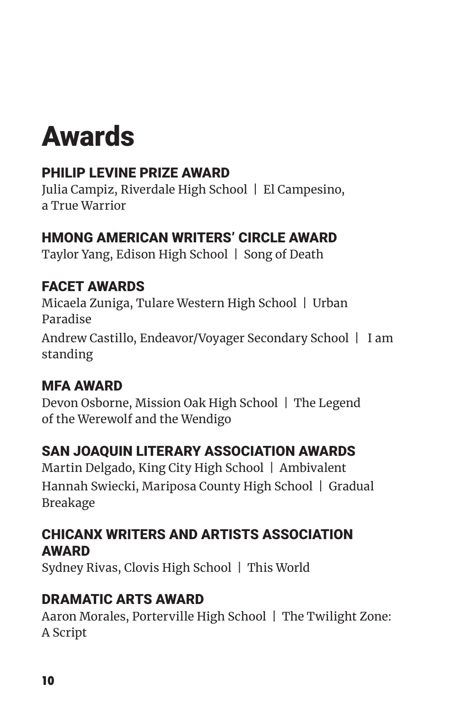# Awards

## PHILIP LEVINE PRIZE AWARD

Julia Campiz, Riverdale High School | El Campesino, a True Warrior

#### HMONG AMERICAN WRITERS' CIRCLE AWARD

Taylor Yang, Edison High School | Song of Death

## FACET AWARDS

Micaela Zuniga, Tulare Western High School | Urban Paradise Andrew Castillo, Endeavor/Voyager Secondary School | I am standing

## MFA AWARD

Devon Osborne, Mission Oak High School | The Legend of the Werewolf and the Wendigo

## SAN JOAQUIN LITERARY ASSOCIATION AWARDS

Martin Delgado, King City High School | Ambivalent Hannah Swiecki, Mariposa County High School | Gradual Breakage

#### CHICANX WRITERS AND ARTISTS ASSOCIATION AWARD

Sydney Rivas, Clovis High School | This World

## DRAMATIC ARTS AWARD

Aaron Morales, Porterville High School | The Twilight Zone: A Script